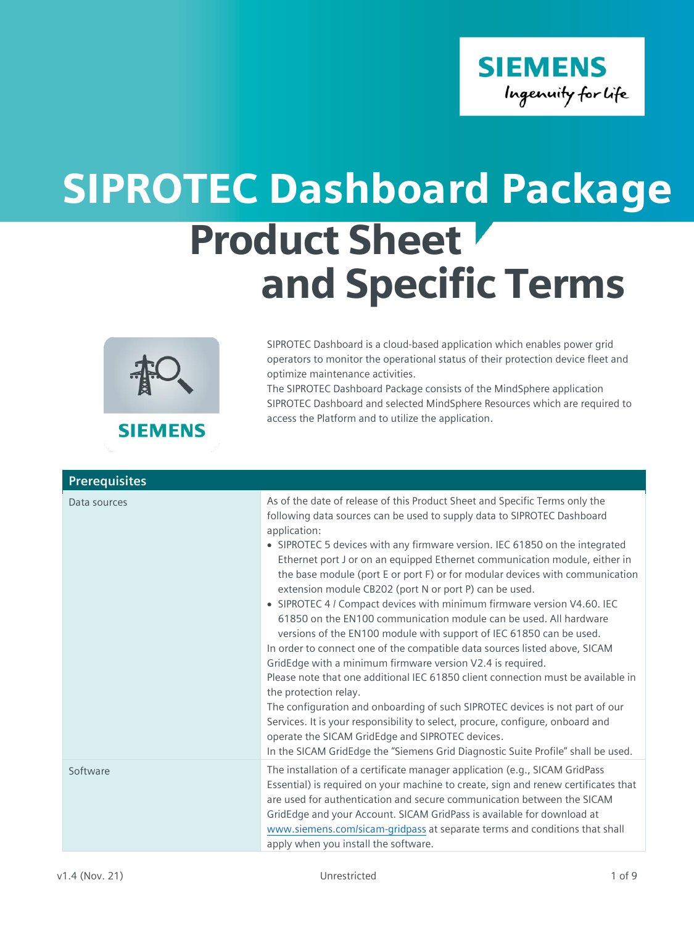

# Product Sheet and Specific Terms SIPROTEC Dashboard Package



## **SIEMENS**

SIPROTEC Dashboard is a cloud-based application which enables power grid operators to monitor the operational status of their protection device fleet and optimize maintenance activities.

The SIPROTEC Dashboard Package consists of the MindSphere application SIPROTEC Dashboard and selected MindSphere Resources which are required to access the Platform and to utilize the application.

| <b>Prerequisites</b> |                                                                                                                                                                                                                                                                                                                                                                                                                                                                                                                                                                                                                                                                                                                                                                                                                                                                                                                                                                                                                                                                                                                                                                                                                                                                         |
|----------------------|-------------------------------------------------------------------------------------------------------------------------------------------------------------------------------------------------------------------------------------------------------------------------------------------------------------------------------------------------------------------------------------------------------------------------------------------------------------------------------------------------------------------------------------------------------------------------------------------------------------------------------------------------------------------------------------------------------------------------------------------------------------------------------------------------------------------------------------------------------------------------------------------------------------------------------------------------------------------------------------------------------------------------------------------------------------------------------------------------------------------------------------------------------------------------------------------------------------------------------------------------------------------------|
| Data sources         | As of the date of release of this Product Sheet and Specific Terms only the<br>following data sources can be used to supply data to SIPROTEC Dashboard<br>application:<br>• SIPROTEC 5 devices with any firmware version. IEC 61850 on the integrated<br>Ethernet port J or on an equipped Ethernet communication module, either in<br>the base module (port E or port F) or for modular devices with communication<br>extension module CB202 (port N or port P) can be used.<br>• SIPROTEC 4 / Compact devices with minimum firmware version V4.60. IEC<br>61850 on the EN100 communication module can be used. All hardware<br>versions of the EN100 module with support of IEC 61850 can be used.<br>In order to connect one of the compatible data sources listed above, SICAM<br>GridEdge with a minimum firmware version V2.4 is required.<br>Please note that one additional IEC 61850 client connection must be available in<br>the protection relay.<br>The configuration and onboarding of such SIPROTEC devices is not part of our<br>Services. It is your responsibility to select, procure, configure, onboard and<br>operate the SICAM GridEdge and SIPROTEC devices.<br>In the SICAM GridEdge the "Siemens Grid Diagnostic Suite Profile" shall be used. |
| Software             | The installation of a certificate manager application (e.g., SICAM GridPass<br>Essential) is required on your machine to create, sign and renew certificates that<br>are used for authentication and secure communication between the SICAM<br>GridEdge and your Account. SICAM GridPass is available for download at<br>www.siemens.com/sicam-gridpass at separate terms and conditions that shall<br>apply when you install the software.                                                                                                                                                                                                                                                                                                                                                                                                                                                                                                                                                                                                                                                                                                                                                                                                                             |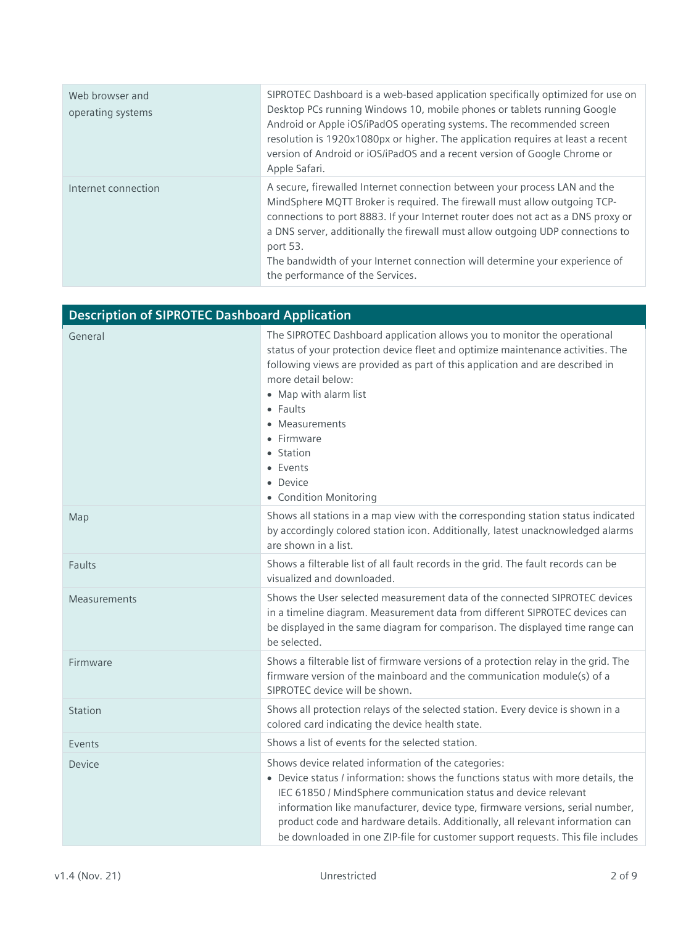| Web browser and<br>operating systems | SIPROTEC Dashboard is a web-based application specifically optimized for use on<br>Desktop PCs running Windows 10, mobile phones or tablets running Google<br>Android or Apple iOS/iPadOS operating systems. The recommended screen<br>resolution is 1920x1080px or higher. The application requires at least a recent<br>version of Android or iOS/iPadOS and a recent version of Google Chrome or<br>Apple Safari.                                        |
|--------------------------------------|-------------------------------------------------------------------------------------------------------------------------------------------------------------------------------------------------------------------------------------------------------------------------------------------------------------------------------------------------------------------------------------------------------------------------------------------------------------|
| Internet connection                  | A secure, firewalled Internet connection between your process LAN and the<br>MindSphere MQTT Broker is required. The firewall must allow outgoing TCP-<br>connections to port 8883. If your Internet router does not act as a DNS proxy or<br>a DNS server, additionally the firewall must allow outgoing UDP connections to<br>port 53.<br>The bandwidth of your Internet connection will determine your experience of<br>the performance of the Services. |

| <b>Description of SIPROTEC Dashboard Application</b> |                                                                                                                                                                                                                                                                                                                                                                                                                                                                 |
|------------------------------------------------------|-----------------------------------------------------------------------------------------------------------------------------------------------------------------------------------------------------------------------------------------------------------------------------------------------------------------------------------------------------------------------------------------------------------------------------------------------------------------|
| General                                              | The SIPROTEC Dashboard application allows you to monitor the operational<br>status of your protection device fleet and optimize maintenance activities. The<br>following views are provided as part of this application and are described in<br>more detail below:<br>• Map with alarm list<br>• Faults<br>• Measurements<br>• Firmware<br>• Station<br>• Events<br>• Device<br>• Condition Monitoring                                                          |
| Map                                                  | Shows all stations in a map view with the corresponding station status indicated<br>by accordingly colored station icon. Additionally, latest unacknowledged alarms<br>are shown in a list.                                                                                                                                                                                                                                                                     |
| Faults                                               | Shows a filterable list of all fault records in the grid. The fault records can be<br>visualized and downloaded.                                                                                                                                                                                                                                                                                                                                                |
| Measurements                                         | Shows the User selected measurement data of the connected SIPROTEC devices<br>in a timeline diagram. Measurement data from different SIPROTEC devices can<br>be displayed in the same diagram for comparison. The displayed time range can<br>be selected.                                                                                                                                                                                                      |
| Firmware                                             | Shows a filterable list of firmware versions of a protection relay in the grid. The<br>firmware version of the mainboard and the communication module(s) of a<br>SIPROTEC device will be shown.                                                                                                                                                                                                                                                                 |
| Station                                              | Shows all protection relays of the selected station. Every device is shown in a<br>colored card indicating the device health state.                                                                                                                                                                                                                                                                                                                             |
| Events                                               | Shows a list of events for the selected station.                                                                                                                                                                                                                                                                                                                                                                                                                |
| Device                                               | Shows device related information of the categories:<br>• Device status / information: shows the functions status with more details, the<br>IEC 61850 / MindSphere communication status and device relevant<br>information like manufacturer, device type, firmware versions, serial number,<br>product code and hardware details. Additionally, all relevant information can<br>be downloaded in one ZIP-file for customer support requests. This file includes |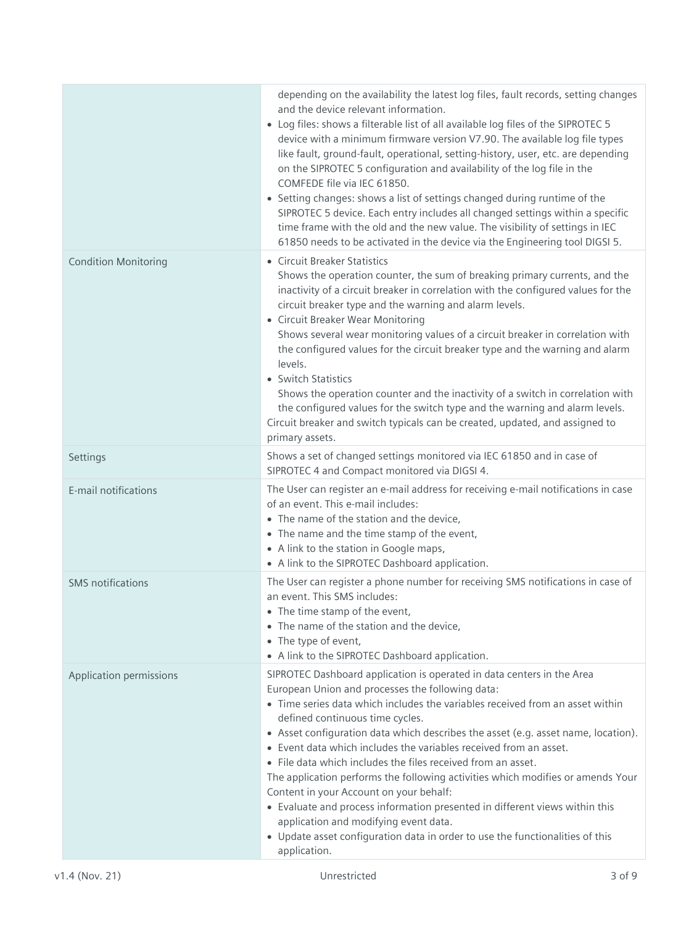|                             | depending on the availability the latest log files, fault records, setting changes<br>and the device relevant information.<br>• Log files: shows a filterable list of all available log files of the SIPROTEC 5<br>device with a minimum firmware version V7.90. The available log file types<br>like fault, ground-fault, operational, setting-history, user, etc. are depending<br>on the SIPROTEC 5 configuration and availability of the log file in the<br>COMFEDE file via IEC 61850.<br>• Setting changes: shows a list of settings changed during runtime of the<br>SIPROTEC 5 device. Each entry includes all changed settings within a specific<br>time frame with the old and the new value. The visibility of settings in IEC<br>61850 needs to be activated in the device via the Engineering tool DIGSI 5.        |
|-----------------------------|---------------------------------------------------------------------------------------------------------------------------------------------------------------------------------------------------------------------------------------------------------------------------------------------------------------------------------------------------------------------------------------------------------------------------------------------------------------------------------------------------------------------------------------------------------------------------------------------------------------------------------------------------------------------------------------------------------------------------------------------------------------------------------------------------------------------------------|
| <b>Condition Monitoring</b> | • Circuit Breaker Statistics<br>Shows the operation counter, the sum of breaking primary currents, and the<br>inactivity of a circuit breaker in correlation with the configured values for the<br>circuit breaker type and the warning and alarm levels.<br>• Circuit Breaker Wear Monitoring<br>Shows several wear monitoring values of a circuit breaker in correlation with<br>the configured values for the circuit breaker type and the warning and alarm<br>levels.<br>• Switch Statistics<br>Shows the operation counter and the inactivity of a switch in correlation with<br>the configured values for the switch type and the warning and alarm levels.<br>Circuit breaker and switch typicals can be created, updated, and assigned to<br>primary assets.                                                           |
| Settings                    | Shows a set of changed settings monitored via IEC 61850 and in case of<br>SIPROTEC 4 and Compact monitored via DIGSI 4.                                                                                                                                                                                                                                                                                                                                                                                                                                                                                                                                                                                                                                                                                                         |
| E-mail notifications        | The User can register an e-mail address for receiving e-mail notifications in case<br>of an event. This e-mail includes:<br>• The name of the station and the device,<br>• The name and the time stamp of the event,<br>• A link to the station in Google maps,<br>• A link to the SIPROTEC Dashboard application.                                                                                                                                                                                                                                                                                                                                                                                                                                                                                                              |
| <b>SMS</b> notifications    | The User can register a phone number for receiving SMS notifications in case of<br>an event. This SMS includes:<br>• The time stamp of the event,<br>• The name of the station and the device,<br>• The type of event,<br>• A link to the SIPROTEC Dashboard application.                                                                                                                                                                                                                                                                                                                                                                                                                                                                                                                                                       |
| Application permissions     | SIPROTEC Dashboard application is operated in data centers in the Area<br>European Union and processes the following data:<br>• Time series data which includes the variables received from an asset within<br>defined continuous time cycles.<br>• Asset configuration data which describes the asset (e.g. asset name, location).<br>• Event data which includes the variables received from an asset.<br>• File data which includes the files received from an asset.<br>The application performs the following activities which modifies or amends Your<br>Content in your Account on your behalf:<br>• Evaluate and process information presented in different views within this<br>application and modifying event data.<br>• Update asset configuration data in order to use the functionalities of this<br>application. |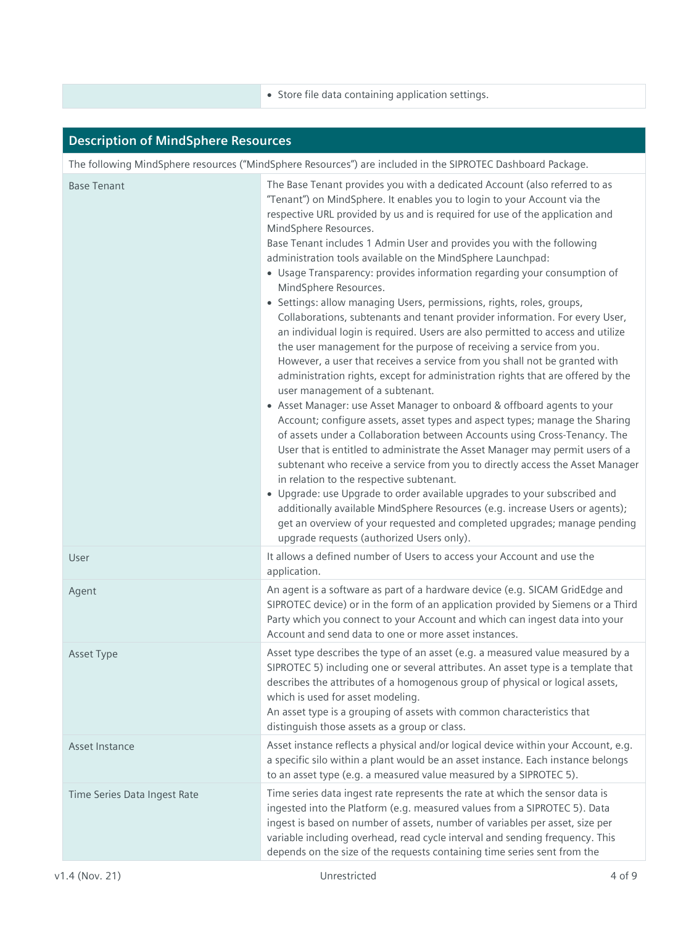• Store file data containing application settings.

| <b>Description of MindSphere Resources</b>                                                                  |                                                                                                                                                                                                                                                                                                                                                                                                                                                                                                                                                                                                                                                                                                                                                                                                                                                                                                                                                                                                                                                                                                                                                                                                                                                                                                                                                                                                                                                                                                                                                                                                                                                                                                                                                                                |  |
|-------------------------------------------------------------------------------------------------------------|--------------------------------------------------------------------------------------------------------------------------------------------------------------------------------------------------------------------------------------------------------------------------------------------------------------------------------------------------------------------------------------------------------------------------------------------------------------------------------------------------------------------------------------------------------------------------------------------------------------------------------------------------------------------------------------------------------------------------------------------------------------------------------------------------------------------------------------------------------------------------------------------------------------------------------------------------------------------------------------------------------------------------------------------------------------------------------------------------------------------------------------------------------------------------------------------------------------------------------------------------------------------------------------------------------------------------------------------------------------------------------------------------------------------------------------------------------------------------------------------------------------------------------------------------------------------------------------------------------------------------------------------------------------------------------------------------------------------------------------------------------------------------------|--|
| The following MindSphere resources ("MindSphere Resources") are included in the SIPROTEC Dashboard Package. |                                                                                                                                                                                                                                                                                                                                                                                                                                                                                                                                                                                                                                                                                                                                                                                                                                                                                                                                                                                                                                                                                                                                                                                                                                                                                                                                                                                                                                                                                                                                                                                                                                                                                                                                                                                |  |
| <b>Base Tenant</b>                                                                                          | The Base Tenant provides you with a dedicated Account (also referred to as<br>"Tenant") on MindSphere. It enables you to login to your Account via the<br>respective URL provided by us and is required for use of the application and<br>MindSphere Resources.<br>Base Tenant includes 1 Admin User and provides you with the following<br>administration tools available on the MindSphere Launchpad:<br>• Usage Transparency: provides information regarding your consumption of<br>MindSphere Resources.<br>• Settings: allow managing Users, permissions, rights, roles, groups,<br>Collaborations, subtenants and tenant provider information. For every User,<br>an individual login is required. Users are also permitted to access and utilize<br>the user management for the purpose of receiving a service from you.<br>However, a user that receives a service from you shall not be granted with<br>administration rights, except for administration rights that are offered by the<br>user management of a subtenant.<br>• Asset Manager: use Asset Manager to onboard & offboard agents to your<br>Account; configure assets, asset types and aspect types; manage the Sharing<br>of assets under a Collaboration between Accounts using Cross-Tenancy. The<br>User that is entitled to administrate the Asset Manager may permit users of a<br>subtenant who receive a service from you to directly access the Asset Manager<br>in relation to the respective subtenant.<br>• Upgrade: use Upgrade to order available upgrades to your subscribed and<br>additionally available MindSphere Resources (e.g. increase Users or agents);<br>get an overview of your requested and completed upgrades; manage pending<br>upgrade requests (authorized Users only). |  |
| User                                                                                                        | It allows a defined number of Users to access your Account and use the<br>application.                                                                                                                                                                                                                                                                                                                                                                                                                                                                                                                                                                                                                                                                                                                                                                                                                                                                                                                                                                                                                                                                                                                                                                                                                                                                                                                                                                                                                                                                                                                                                                                                                                                                                         |  |
| Agent                                                                                                       | An agent is a software as part of a hardware device (e.g. SICAM GridEdge and<br>SIPROTEC device) or in the form of an application provided by Siemens or a Third<br>Party which you connect to your Account and which can ingest data into your<br>Account and send data to one or more asset instances.                                                                                                                                                                                                                                                                                                                                                                                                                                                                                                                                                                                                                                                                                                                                                                                                                                                                                                                                                                                                                                                                                                                                                                                                                                                                                                                                                                                                                                                                       |  |
| Asset Type                                                                                                  | Asset type describes the type of an asset (e.g. a measured value measured by a<br>SIPROTEC 5) including one or several attributes. An asset type is a template that<br>describes the attributes of a homogenous group of physical or logical assets,<br>which is used for asset modeling.<br>An asset type is a grouping of assets with common characteristics that<br>distinguish those assets as a group or class.                                                                                                                                                                                                                                                                                                                                                                                                                                                                                                                                                                                                                                                                                                                                                                                                                                                                                                                                                                                                                                                                                                                                                                                                                                                                                                                                                           |  |
| Asset Instance                                                                                              | Asset instance reflects a physical and/or logical device within your Account, e.g.<br>a specific silo within a plant would be an asset instance. Each instance belongs<br>to an asset type (e.g. a measured value measured by a SIPROTEC 5).                                                                                                                                                                                                                                                                                                                                                                                                                                                                                                                                                                                                                                                                                                                                                                                                                                                                                                                                                                                                                                                                                                                                                                                                                                                                                                                                                                                                                                                                                                                                   |  |
| Time Series Data Ingest Rate                                                                                | Time series data ingest rate represents the rate at which the sensor data is<br>ingested into the Platform (e.g. measured values from a SIPROTEC 5). Data<br>ingest is based on number of assets, number of variables per asset, size per<br>variable including overhead, read cycle interval and sending frequency. This<br>depends on the size of the requests containing time series sent from the                                                                                                                                                                                                                                                                                                                                                                                                                                                                                                                                                                                                                                                                                                                                                                                                                                                                                                                                                                                                                                                                                                                                                                                                                                                                                                                                                                          |  |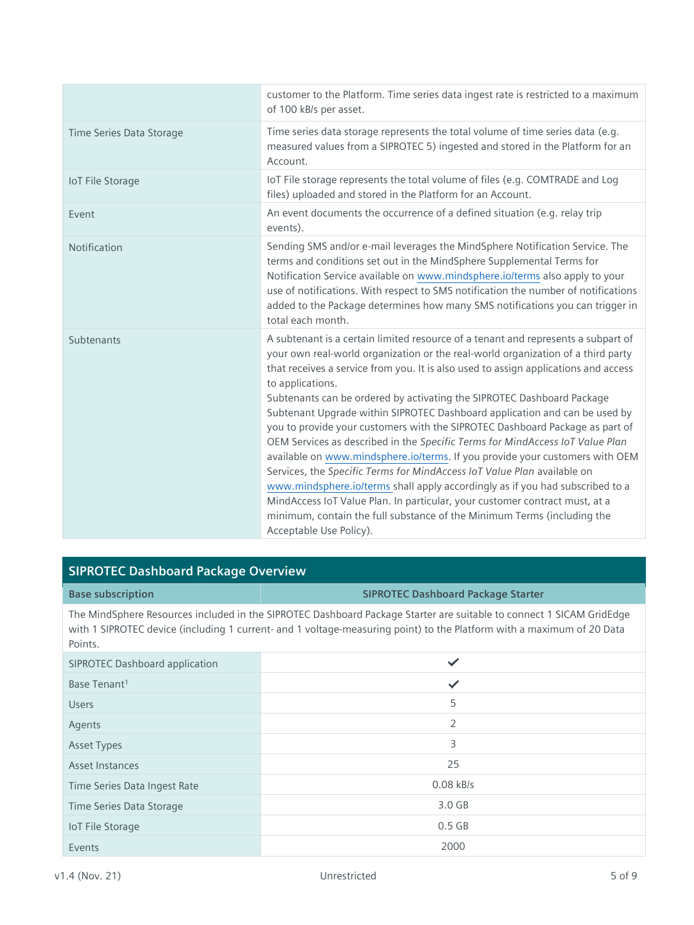|                          | customer to the Platform. Time series data ingest rate is restricted to a maximum<br>of 100 kB/s per asset.                                                                                                                                                                                                                                                                                                                                                                                                                                                                                                                                                                                                                                                                                                                                                                                                                                                                                                                                |
|--------------------------|--------------------------------------------------------------------------------------------------------------------------------------------------------------------------------------------------------------------------------------------------------------------------------------------------------------------------------------------------------------------------------------------------------------------------------------------------------------------------------------------------------------------------------------------------------------------------------------------------------------------------------------------------------------------------------------------------------------------------------------------------------------------------------------------------------------------------------------------------------------------------------------------------------------------------------------------------------------------------------------------------------------------------------------------|
| Time Series Data Storage | Time series data storage represents the total volume of time series data (e.g.<br>measured values from a SIPROTEC 5) ingested and stored in the Platform for an<br>Account.                                                                                                                                                                                                                                                                                                                                                                                                                                                                                                                                                                                                                                                                                                                                                                                                                                                                |
| <b>IoT File Storage</b>  | IoT File storage represents the total volume of files (e.g. COMTRADE and Log<br>files) uploaded and stored in the Platform for an Account.                                                                                                                                                                                                                                                                                                                                                                                                                                                                                                                                                                                                                                                                                                                                                                                                                                                                                                 |
| Event                    | An event documents the occurrence of a defined situation (e.g. relay trip<br>events).                                                                                                                                                                                                                                                                                                                                                                                                                                                                                                                                                                                                                                                                                                                                                                                                                                                                                                                                                      |
| Notification             | Sending SMS and/or e-mail leverages the MindSphere Notification Service. The<br>terms and conditions set out in the MindSphere Supplemental Terms for<br>Notification Service available on www.mindsphere.io/terms also apply to your<br>use of notifications. With respect to SMS notification the number of notifications<br>added to the Package determines how many SMS notifications you can trigger in<br>total each month.                                                                                                                                                                                                                                                                                                                                                                                                                                                                                                                                                                                                          |
| Subtenants               | A subtenant is a certain limited resource of a tenant and represents a subpart of<br>your own real-world organization or the real-world organization of a third party<br>that receives a service from you. It is also used to assign applications and access<br>to applications.<br>Subtenants can be ordered by activating the SIPROTEC Dashboard Package<br>Subtenant Upgrade within SIPROTEC Dashboard application and can be used by<br>you to provide your customers with the SIPROTEC Dashboard Package as part of<br>OEM Services as described in the Specific Terms for MindAccess IoT Value Plan<br>available on www.mindsphere.io/terms. If you provide your customers with OEM<br>Services, the Specific Terms for MindAccess IoT Value Plan available on<br>www.mindsphere.io/terms shall apply accordingly as if you had subscribed to a<br>MindAccess IoT Value Plan. In particular, your customer contract must, at a<br>minimum, contain the full substance of the Minimum Terms (including the<br>Acceptable Use Policy). |

#### **SIPROTEC Dashboard Package Overview**

#### **Base subscription SIPROTEC Dashboard Package Starter**

The MindSphere Resources included in the SIPROTEC Dashboard Package Starter are suitable to connect 1 SICAM GridEdge with 1 SIPROTEC device (including 1 current- and 1 voltage-measuring point) to the Platform with a maximum of 20 Data Points.

| <b>SIPROTEC Dashboard application</b> | ✓              |
|---------------------------------------|----------------|
| Base Tenant <sup>1</sup>              | $\checkmark$   |
| <b>Users</b>                          | 5              |
| Agents                                | $\overline{2}$ |
| Asset Types                           | 3              |
| Asset Instances                       | 25             |
| Time Series Data Ingest Rate          | $0.08$ kB/s    |
| Time Series Data Storage              | 3.0 GB         |
| IoT File Storage                      | $0.5$ GB       |
| Events                                | 2000           |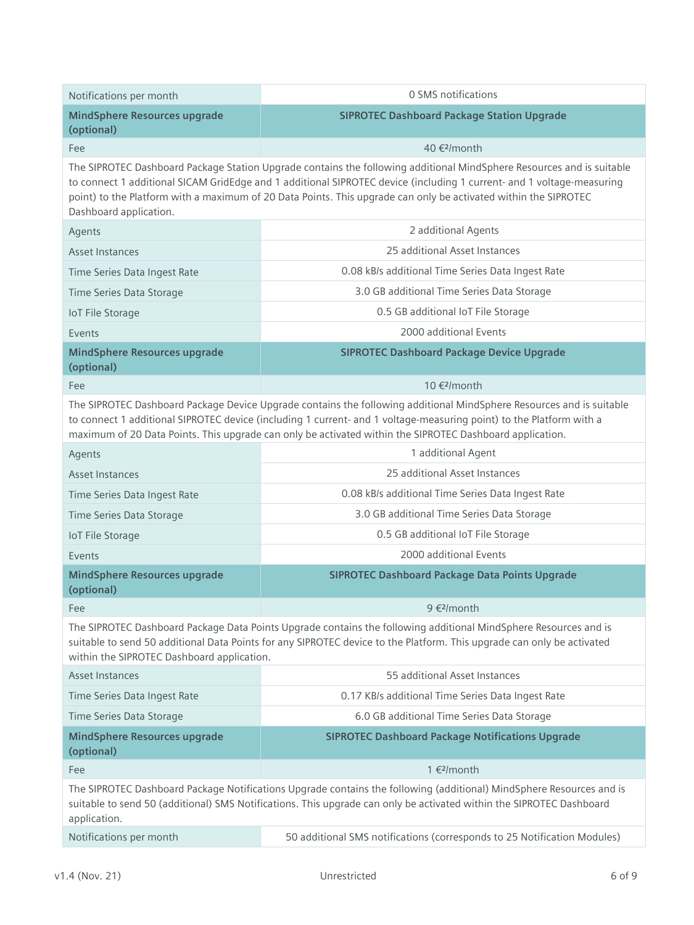| Notifications per month                                                                                                                                                                                                                                                                                                                                 | 0 SMS notifications                                                                                                                                                                                                                                                                                                                                               |  |
|---------------------------------------------------------------------------------------------------------------------------------------------------------------------------------------------------------------------------------------------------------------------------------------------------------------------------------------------------------|-------------------------------------------------------------------------------------------------------------------------------------------------------------------------------------------------------------------------------------------------------------------------------------------------------------------------------------------------------------------|--|
| <b>MindSphere Resources upgrade</b><br>(optional)                                                                                                                                                                                                                                                                                                       | <b>SIPROTEC Dashboard Package Station Upgrade</b>                                                                                                                                                                                                                                                                                                                 |  |
| Fee                                                                                                                                                                                                                                                                                                                                                     | 40 € <sup>2</sup> /month                                                                                                                                                                                                                                                                                                                                          |  |
| Dashboard application.                                                                                                                                                                                                                                                                                                                                  | The SIPROTEC Dashboard Package Station Upgrade contains the following additional MindSphere Resources and is suitable<br>to connect 1 additional SICAM GridEdge and 1 additional SIPROTEC device (including 1 current- and 1 voltage-measuring<br>point) to the Platform with a maximum of 20 Data Points. This upgrade can only be activated within the SIPROTEC |  |
| Agents                                                                                                                                                                                                                                                                                                                                                  | 2 additional Agents                                                                                                                                                                                                                                                                                                                                               |  |
| <b>Asset Instances</b>                                                                                                                                                                                                                                                                                                                                  | 25 additional Asset Instances                                                                                                                                                                                                                                                                                                                                     |  |
| Time Series Data Ingest Rate                                                                                                                                                                                                                                                                                                                            | 0.08 kB/s additional Time Series Data Ingest Rate                                                                                                                                                                                                                                                                                                                 |  |
| Time Series Data Storage                                                                                                                                                                                                                                                                                                                                | 3.0 GB additional Time Series Data Storage                                                                                                                                                                                                                                                                                                                        |  |
| <b>IoT File Storage</b>                                                                                                                                                                                                                                                                                                                                 | 0.5 GB additional IoT File Storage                                                                                                                                                                                                                                                                                                                                |  |
| Events                                                                                                                                                                                                                                                                                                                                                  | 2000 additional Events                                                                                                                                                                                                                                                                                                                                            |  |
| <b>MindSphere Resources upgrade</b><br>(optional)                                                                                                                                                                                                                                                                                                       | <b>SIPROTEC Dashboard Package Device Upgrade</b>                                                                                                                                                                                                                                                                                                                  |  |
| Fee                                                                                                                                                                                                                                                                                                                                                     | 10 € <sup>2</sup> /month                                                                                                                                                                                                                                                                                                                                          |  |
| The SIPROTEC Dashboard Package Device Upgrade contains the following additional MindSphere Resources and is suitable<br>to connect 1 additional SIPROTEC device (including 1 current- and 1 voltage-measuring point) to the Platform with a<br>maximum of 20 Data Points. This upgrade can only be activated within the SIPROTEC Dashboard application. |                                                                                                                                                                                                                                                                                                                                                                   |  |
| Agents                                                                                                                                                                                                                                                                                                                                                  | 1 additional Agent                                                                                                                                                                                                                                                                                                                                                |  |
| <b>Asset Instances</b>                                                                                                                                                                                                                                                                                                                                  | 25 additional Asset Instances                                                                                                                                                                                                                                                                                                                                     |  |
| Time Series Data Ingest Rate                                                                                                                                                                                                                                                                                                                            | 0.08 kB/s additional Time Series Data Ingest Rate                                                                                                                                                                                                                                                                                                                 |  |
| Time Series Data Storage                                                                                                                                                                                                                                                                                                                                | 3.0 GB additional Time Series Data Storage                                                                                                                                                                                                                                                                                                                        |  |
| <b>IoT File Storage</b>                                                                                                                                                                                                                                                                                                                                 | 0.5 GB additional IoT File Storage                                                                                                                                                                                                                                                                                                                                |  |
| Events                                                                                                                                                                                                                                                                                                                                                  | 2000 additional Events                                                                                                                                                                                                                                                                                                                                            |  |
| <b>MindSphere Resources upgrade</b><br>(optional)                                                                                                                                                                                                                                                                                                       | <b>SIPROTEC Dashboard Package Data Points Upgrade</b>                                                                                                                                                                                                                                                                                                             |  |
| Fee                                                                                                                                                                                                                                                                                                                                                     | 9 € <sup>2</sup> /month                                                                                                                                                                                                                                                                                                                                           |  |
| The SIPROTEC Dashboard Package Data Points Upgrade contains the following additional MindSphere Resources and is<br>suitable to send 50 additional Data Points for any SIPROTEC device to the Platform. This upgrade can only be activated<br>within the SIPROTEC Dashboard application.                                                                |                                                                                                                                                                                                                                                                                                                                                                   |  |
| <b>Asset Instances</b>                                                                                                                                                                                                                                                                                                                                  | 55 additional Asset Instances                                                                                                                                                                                                                                                                                                                                     |  |
| Time Series Data Ingest Rate                                                                                                                                                                                                                                                                                                                            | 0.17 KB/s additional Time Series Data Ingest Rate                                                                                                                                                                                                                                                                                                                 |  |
| Time Series Data Storage                                                                                                                                                                                                                                                                                                                                | 6.0 GB additional Time Series Data Storage                                                                                                                                                                                                                                                                                                                        |  |
| <b>MindSphere Resources upgrade</b><br>(optional)                                                                                                                                                                                                                                                                                                       | <b>SIPROTEC Dashboard Package Notifications Upgrade</b>                                                                                                                                                                                                                                                                                                           |  |
| Fee                                                                                                                                                                                                                                                                                                                                                     | 1 € <sup>2</sup> /month                                                                                                                                                                                                                                                                                                                                           |  |
| application.                                                                                                                                                                                                                                                                                                                                            | The SIPROTEC Dashboard Package Notifications Upgrade contains the following (additional) MindSphere Resources and is<br>suitable to send 50 (additional) SMS Notifications. This upgrade can only be activated within the SIPROTEC Dashboard                                                                                                                      |  |
| Notifications per month                                                                                                                                                                                                                                                                                                                                 | 50 additional SMS notifications (corresponds to 25 Notification Modules)                                                                                                                                                                                                                                                                                          |  |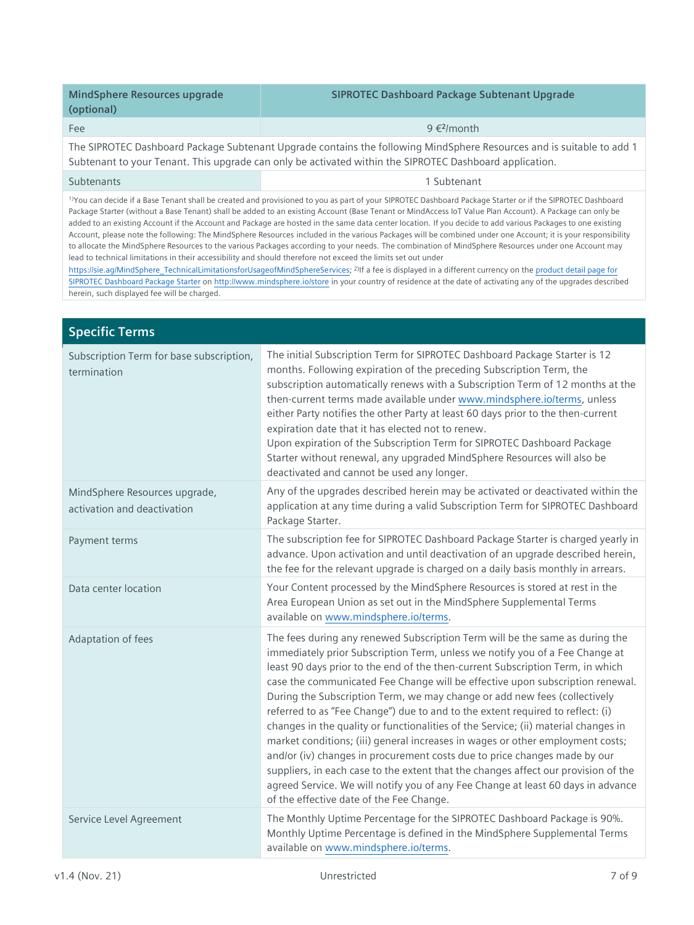| MindSphere Resources upgrade<br>(optional) | <b>SIPROTEC Dashboard Package Subtenant Upgrade</b> |
|--------------------------------------------|-----------------------------------------------------|
| <b>Fee</b>                                 | 9 € <sup>2</sup> /month                             |

The SIPROTEC Dashboard Package Subtenant Upgrade contains the following MindSphere Resources and is suitable to add 1 Subtenant to your Tenant. This upgrade can only be activated within the SIPROTEC Dashboard application.

#### Subtenants 1 Subtenants 1 Subtenants 1 Subtenants 1 Subtenants 1 Subtenants 1 Subtenants 1 Subtenants 1 Subtenants 1 Subtenants 1 Subtenants 1 Subtenants 1 Subtenants 1 Subtenants 1 Subtenants 1 Subtenants 1 Subtenants 1 S

<sup>1)</sup>You can decide if a Base Tenant shall be created and provisioned to you as part of your SIPROTEC Dashboard Package Starter or if the SIPROTEC Dashboard Package Starter (without a Base Tenant) shall be added to an existing Account (Base Tenant or MindAccess IoT Value Plan Account). A Package can only be added to an existing Account if the Account and Package are hosted in the same data center location. If you decide to add various Packages to one existing Account, please note the following: The MindSphere Resources included in the various Packages will be combined under one Account; it is your responsibility to allocate the MindSphere Resources to the various Packages according to your needs. The combination of MindSphere Resources under one Account may lead to technical limitations in their accessibility and should therefore not exceed the limits set out under

[https://sie.ag/MindSphere\\_TechnicalLimitationsforUsageofMindSphereServices;](https://sie.ag/MindSphere_TechnicalLimitationsforUsageofMindSphereServices) 2) If a fee is displayed in a different currency on th[e product detail page for](https://www.dex.siemens.com/mindsphere/applications/siprotec-dashboard-package-starter)  [SIPROTEC Dashboard Package](https://www.dex.siemens.com/mindsphere/applications/siprotec-dashboard-package-starter) Starter o[n http://www.mindsphere.io/store](http://www.mindsphere.io/store) in your country of residence at the date of activating any of the upgrades described herein, such displayed fee will be charged.

| <b>Specific Terms</b>                                        |                                                                                                                                                                                                                                                                                                                                                                                                                                                                                                                                                                                                                                                                                                                                                                                                                                                                                                                                                                           |
|--------------------------------------------------------------|---------------------------------------------------------------------------------------------------------------------------------------------------------------------------------------------------------------------------------------------------------------------------------------------------------------------------------------------------------------------------------------------------------------------------------------------------------------------------------------------------------------------------------------------------------------------------------------------------------------------------------------------------------------------------------------------------------------------------------------------------------------------------------------------------------------------------------------------------------------------------------------------------------------------------------------------------------------------------|
| Subscription Term for base subscription,<br>termination      | The initial Subscription Term for SIPROTEC Dashboard Package Starter is 12<br>months. Following expiration of the preceding Subscription Term, the<br>subscription automatically renews with a Subscription Term of 12 months at the<br>then-current terms made available under www.mindsphere.io/terms, unless<br>either Party notifies the other Party at least 60 days prior to the then-current<br>expiration date that it has elected not to renew.<br>Upon expiration of the Subscription Term for SIPROTEC Dashboard Package<br>Starter without renewal, any upgraded MindSphere Resources will also be<br>deactivated and cannot be used any longer.                                                                                                                                                                                                                                                                                                              |
| MindSphere Resources upgrade,<br>activation and deactivation | Any of the upgrades described herein may be activated or deactivated within the<br>application at any time during a valid Subscription Term for SIPROTEC Dashboard<br>Package Starter.                                                                                                                                                                                                                                                                                                                                                                                                                                                                                                                                                                                                                                                                                                                                                                                    |
| Payment terms                                                | The subscription fee for SIPROTEC Dashboard Package Starter is charged yearly in<br>advance. Upon activation and until deactivation of an upgrade described herein,<br>the fee for the relevant upgrade is charged on a daily basis monthly in arrears.                                                                                                                                                                                                                                                                                                                                                                                                                                                                                                                                                                                                                                                                                                                   |
| Data center location                                         | Your Content processed by the MindSphere Resources is stored at rest in the<br>Area European Union as set out in the MindSphere Supplemental Terms<br>available on www.mindsphere.io/terms.                                                                                                                                                                                                                                                                                                                                                                                                                                                                                                                                                                                                                                                                                                                                                                               |
| Adaptation of fees                                           | The fees during any renewed Subscription Term will be the same as during the<br>immediately prior Subscription Term, unless we notify you of a Fee Change at<br>least 90 days prior to the end of the then-current Subscription Term, in which<br>case the communicated Fee Change will be effective upon subscription renewal.<br>During the Subscription Term, we may change or add new fees (collectively<br>referred to as "Fee Change") due to and to the extent required to reflect: (i)<br>changes in the quality or functionalities of the Service; (ii) material changes in<br>market conditions; (iii) general increases in wages or other employment costs;<br>and/or (iv) changes in procurement costs due to price changes made by our<br>suppliers, in each case to the extent that the changes affect our provision of the<br>agreed Service. We will notify you of any Fee Change at least 60 days in advance<br>of the effective date of the Fee Change. |
| Service Level Agreement                                      | The Monthly Uptime Percentage for the SIPROTEC Dashboard Package is 90%.<br>Monthly Uptime Percentage is defined in the MindSphere Supplemental Terms<br>available on www.mindsphere.io/terms.                                                                                                                                                                                                                                                                                                                                                                                                                                                                                                                                                                                                                                                                                                                                                                            |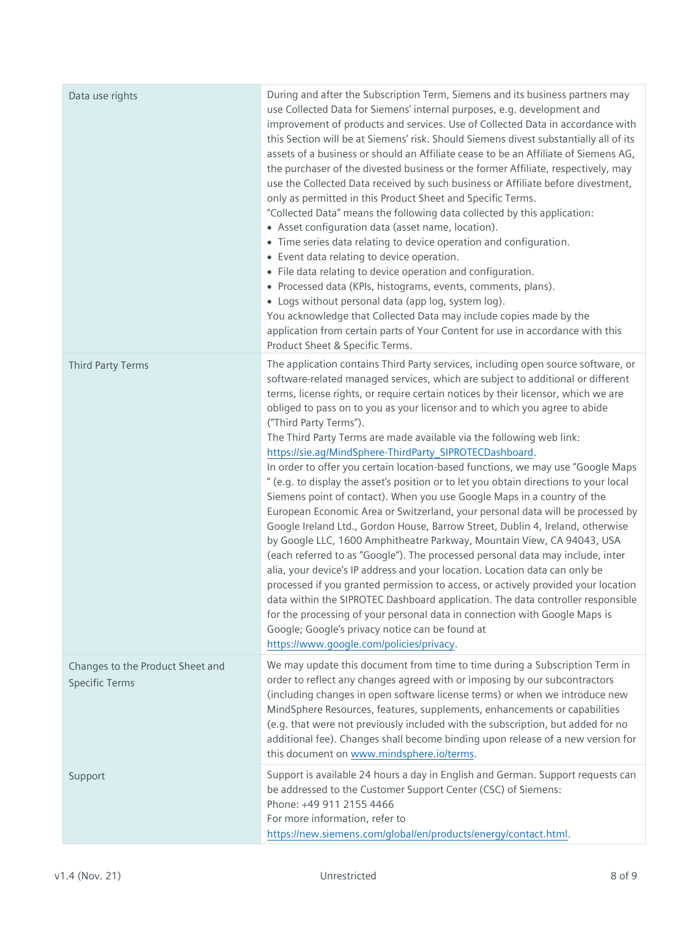| Data use rights                                           | During and after the Subscription Term, Siemens and its business partners may<br>use Collected Data for Siemens' internal purposes, e.g. development and<br>improvement of products and services. Use of Collected Data in accordance with<br>this Section will be at Siemens' risk. Should Siemens divest substantially all of its<br>assets of a business or should an Affiliate cease to be an Affiliate of Siemens AG,<br>the purchaser of the divested business or the former Affiliate, respectively, may<br>use the Collected Data received by such business or Affiliate before divestment,<br>only as permitted in this Product Sheet and Specific Terms.<br>"Collected Data" means the following data collected by this application:<br>• Asset configuration data (asset name, location).<br>• Time series data relating to device operation and configuration.<br>• Event data relating to device operation.<br>• File data relating to device operation and configuration.<br>• Processed data (KPIs, histograms, events, comments, plans).<br>• Logs without personal data (app log, system log).<br>You acknowledge that Collected Data may include copies made by the<br>application from certain parts of Your Content for use in accordance with this<br>Product Sheet & Specific Terms.                                                                                                                                                                                                                      |
|-----------------------------------------------------------|---------------------------------------------------------------------------------------------------------------------------------------------------------------------------------------------------------------------------------------------------------------------------------------------------------------------------------------------------------------------------------------------------------------------------------------------------------------------------------------------------------------------------------------------------------------------------------------------------------------------------------------------------------------------------------------------------------------------------------------------------------------------------------------------------------------------------------------------------------------------------------------------------------------------------------------------------------------------------------------------------------------------------------------------------------------------------------------------------------------------------------------------------------------------------------------------------------------------------------------------------------------------------------------------------------------------------------------------------------------------------------------------------------------------------------------------------------------------------------------------------------------------------------|
| Third Party Terms                                         | The application contains Third Party services, including open source software, or<br>software-related managed services, which are subject to additional or different<br>terms, license rights, or require certain notices by their licensor, which we are<br>obliged to pass on to you as your licensor and to which you agree to abide<br>("Third Party Terms").<br>The Third Party Terms are made available via the following web link:<br>https://sie.ag/MindSphere-ThirdParty_SIPROTECDashboard.<br>In order to offer you certain location-based functions, we may use "Google Maps<br>" (e.g. to display the asset's position or to let you obtain directions to your local<br>Siemens point of contact). When you use Google Maps in a country of the<br>European Economic Area or Switzerland, your personal data will be processed by<br>Google Ireland Ltd., Gordon House, Barrow Street, Dublin 4, Ireland, otherwise<br>by Google LLC, 1600 Amphitheatre Parkway, Mountain View, CA 94043, USA<br>(each referred to as "Google"). The processed personal data may include, inter<br>alia, your device's IP address and your location. Location data can only be<br>processed if you granted permission to access, or actively provided your location<br>data within the SIPROTEC Dashboard application. The data controller responsible<br>for the processing of your personal data in connection with Google Maps is<br>Google; Google's privacy notice can be found at<br>https://www.google.com/policies/privacy. |
| Changes to the Product Sheet and<br><b>Specific Terms</b> | We may update this document from time to time during a Subscription Term in<br>order to reflect any changes agreed with or imposing by our subcontractors<br>(including changes in open software license terms) or when we introduce new<br>MindSphere Resources, features, supplements, enhancements or capabilities<br>(e.g. that were not previously included with the subscription, but added for no<br>additional fee). Changes shall become binding upon release of a new version for<br>this document on www.mindsphere.io/terms.                                                                                                                                                                                                                                                                                                                                                                                                                                                                                                                                                                                                                                                                                                                                                                                                                                                                                                                                                                                        |
| Support                                                   | Support is available 24 hours a day in English and German. Support requests can<br>be addressed to the Customer Support Center (CSC) of Siemens:<br>Phone: +49 911 2155 4466<br>For more information, refer to<br>https://new.siemens.com/global/en/products/energy/contact.html.                                                                                                                                                                                                                                                                                                                                                                                                                                                                                                                                                                                                                                                                                                                                                                                                                                                                                                                                                                                                                                                                                                                                                                                                                                               |